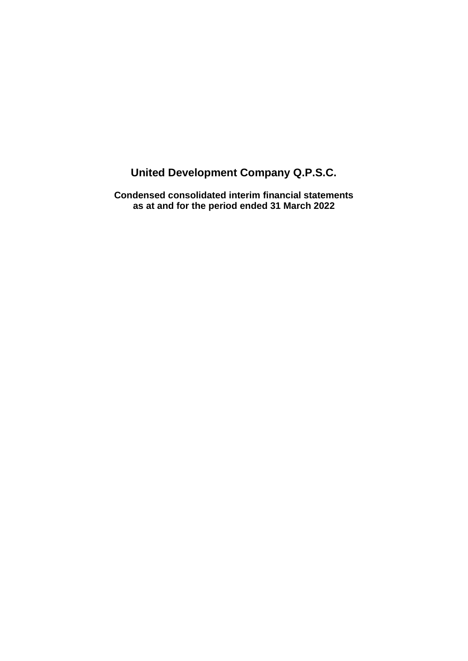**Condensed consolidated interim financial statements as at and for the period ended 31 March 2022**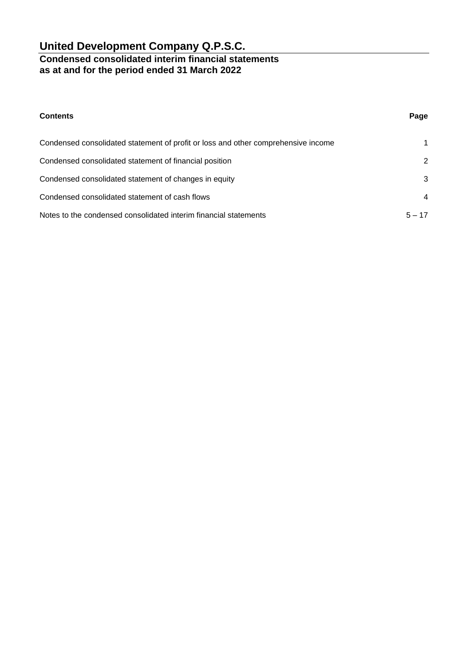### **Condensed consolidated interim financial statements as at and for the period ended 31 March 2022**

| <b>Contents</b>                                                                   | Page           |
|-----------------------------------------------------------------------------------|----------------|
| Condensed consolidated statement of profit or loss and other comprehensive income | 1              |
| Condensed consolidated statement of financial position                            | 2              |
| Condensed consolidated statement of changes in equity                             | 3              |
| Condensed consolidated statement of cash flows                                    | $\overline{4}$ |
| Notes to the condensed consolidated interim financial statements                  | $5 - 17$       |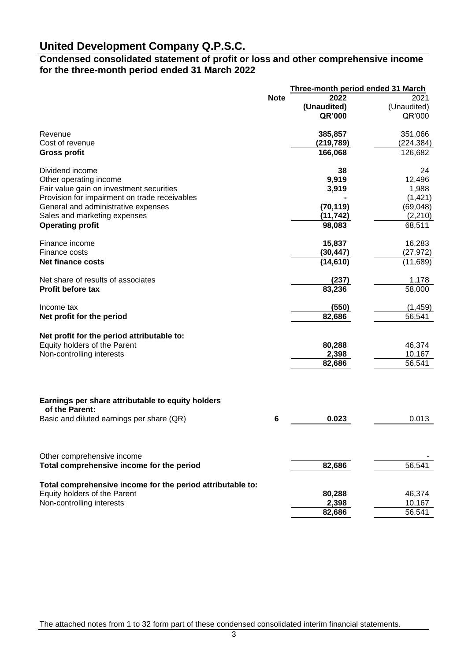### **Condensed consolidated statement of profit or loss and other comprehensive income for the three-month period ended 31 March 2022**

|                                                                     | <b>Three-month period ended 31 March</b> |             |             |
|---------------------------------------------------------------------|------------------------------------------|-------------|-------------|
|                                                                     | <b>Note</b>                              | 2022        | 2021        |
|                                                                     |                                          | (Unaudited) | (Unaudited) |
|                                                                     |                                          | QR'000      | QR'000      |
| Revenue                                                             |                                          | 385,857     | 351,066     |
| Cost of revenue                                                     |                                          | (219, 789)  | (224, 384)  |
| <b>Gross profit</b>                                                 |                                          | 166,068     | 126,682     |
| Dividend income                                                     |                                          | 38          | 24          |
| Other operating income                                              |                                          | 9,919       | 12,496      |
| Fair value gain on investment securities                            |                                          | 3,919       | 1,988       |
| Provision for impairment on trade receivables                       |                                          |             | (1,421)     |
| General and administrative expenses                                 |                                          | (70, 119)   | (69,048)    |
| Sales and marketing expenses                                        |                                          | (11, 742)   | (2, 210)    |
| <b>Operating profit</b>                                             |                                          | 98,083      | 68,511      |
| Finance income                                                      |                                          | 15,837      | 16,283      |
| Finance costs                                                       |                                          | (30, 447)   | (27, 972)   |
| <b>Net finance costs</b>                                            |                                          | (14, 610)   | (11,689)    |
| Net share of results of associates                                  |                                          | (237)       | 1,178       |
| <b>Profit before tax</b>                                            |                                          | 83,236      | 58,000      |
| Income tax                                                          |                                          | (550)       | (1, 459)    |
| Net profit for the period                                           |                                          | 82,686      | 56,541      |
| Net profit for the period attributable to:                          |                                          |             |             |
| Equity holders of the Parent                                        |                                          | 80,288      | 46,374      |
| Non-controlling interests                                           |                                          | 2,398       | 10,167      |
|                                                                     |                                          | 82,686      | 56,541      |
|                                                                     |                                          |             |             |
| Earnings per share attributable to equity holders<br>of the Parent: |                                          |             |             |
| Basic and diluted earnings per share (QR)                           | 6                                        | 0.023       | 0.013       |
|                                                                     |                                          |             |             |
| Other comprehensive income                                          |                                          |             |             |
| Total comprehensive income for the period                           |                                          | 82,686      | 56,541      |
| Total comprehensive income for the period attributable to:          |                                          |             |             |
| Equity holders of the Parent                                        |                                          | 80,288      | 46,374      |
| Non-controlling interests                                           |                                          | 2,398       | 10,167      |
|                                                                     |                                          | 82,686      | 56,541      |

The attached notes from 1 to 32 form part of these condensed consolidated interim financial statements.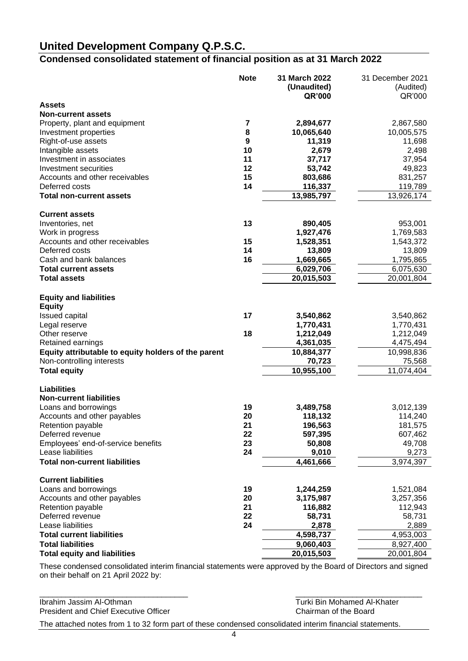## **Condensed consolidated statement of financial position as at 31 March 2022**

|                                                     | <b>Note</b>    | 31 March 2022<br>(Unaudited)<br>QR'000 | 31 December 2021<br>(Audited)<br>QR'000 |
|-----------------------------------------------------|----------------|----------------------------------------|-----------------------------------------|
| <b>Assets</b>                                       |                |                                        |                                         |
| <b>Non-current assets</b>                           |                |                                        |                                         |
| Property, plant and equipment                       | $\overline{7}$ | 2,894,677                              | 2,867,580                               |
| Investment properties                               | 8              | 10,065,640                             | 10,005,575                              |
| Right-of-use assets                                 | 9              | 11,319                                 | 11,698                                  |
| Intangible assets                                   | 10             | 2,679                                  | 2,498                                   |
| Investment in associates                            | 11             | 37,717                                 | 37,954                                  |
| Investment securities                               | 12             | 53,742                                 | 49,823                                  |
| Accounts and other receivables                      | 15             | 803,686                                | 831,257                                 |
| Deferred costs                                      | 14             | 116,337                                | 119,789                                 |
| <b>Total non-current assets</b>                     |                | 13,985,797                             | 13,926,174                              |
| <b>Current assets</b>                               |                |                                        |                                         |
| Inventories, net                                    | 13             | 890,405                                | 953,001                                 |
| Work in progress                                    |                | 1,927,476                              | 1,769,583                               |
| Accounts and other receivables                      | 15             | 1,528,351                              | 1,543,372                               |
| Deferred costs                                      | 14             | 13,809                                 | 13,809                                  |
| Cash and bank balances                              | 16             | 1,669,665                              | 1,795,865                               |
| <b>Total current assets</b>                         |                | 6,029,706                              | 6,075,630                               |
| <b>Total assets</b>                                 |                | 20,015,503                             | 20,001,804                              |
| <b>Equity and liabilities</b>                       |                |                                        |                                         |
| <b>Equity</b>                                       |                |                                        |                                         |
| Issued capital                                      | 17             | 3,540,862                              | 3,540,862                               |
| Legal reserve                                       |                | 1,770,431                              | 1,770,431                               |
| Other reserve                                       | 18             | 1,212,049                              | 1,212,049                               |
| Retained earnings                                   |                | 4,361,035                              | 4,475,494                               |
| Equity attributable to equity holders of the parent |                | 10,884,377                             | 10,998,836                              |
| Non-controlling interests                           |                | 70,723                                 | 75,568                                  |
| <b>Total equity</b>                                 |                | 10,955,100                             | 11,074,404                              |
| <b>Liabilities</b>                                  |                |                                        |                                         |
| <b>Non-current liabilities</b>                      |                |                                        |                                         |
| Loans and borrowings                                | 19             | 3,489,758                              | 3,012,139                               |
| Accounts and other payables                         | 20             | 118,132                                | 114,240                                 |
| Retention payable                                   | 21             | 196,563                                | 181,575                                 |
| Deferred revenue                                    | 22             | 597,395                                | 607,462                                 |
| Employees' end-of-service benefits                  | 23             | 50,808                                 | 49,708                                  |
| Lease liabilities                                   | 24             | 9,010                                  | 9,273                                   |
| <b>Total non-current liabilities</b>                |                | 4,461,666                              | 3,974,397                               |
| <b>Current liabilities</b>                          |                |                                        |                                         |
| Loans and borrowings                                | 19             | 1,244,259                              | 1,521,084                               |
| Accounts and other payables                         | 20             | 3,175,987                              | 3,257,356                               |
| Retention payable                                   | 21             | 116,882                                | 112,943                                 |
| Deferred revenue                                    | 22             | 58,731                                 | 58,731                                  |
| Lease liabilities                                   | 24             | 2,878                                  | 2,889                                   |
| <b>Total current liabilities</b>                    |                | 4,598,737                              | 4,953,003                               |
| <b>Total liabilities</b>                            |                | 9,060,403                              | 8,927,400                               |
| <b>Total equity and liabilities</b>                 |                | 20,015,503                             | 20,001,804                              |

These condensed consolidated interim financial statements were approved by the Board of Directors and signed on their behalf on 21 April 2022 by:

The attached notes from 1 to 32 form part of these condensed consolidated interim financial statements. \_\_\_\_\_\_\_\_\_\_\_\_\_\_\_\_\_\_\_\_\_\_\_\_\_\_\_\_\_\_\_\_\_\_ \_\_\_\_\_\_\_\_\_\_\_\_\_\_\_\_\_\_\_\_\_\_\_\_\_\_\_\_\_ Ibrahim Jassim Al-Othman Ibrahim Jassim Al-Othman Chican Chicago Chairman of the Board<br>
President and Chief Executive Officer International Chairman of the Board President and Chief Executive Officer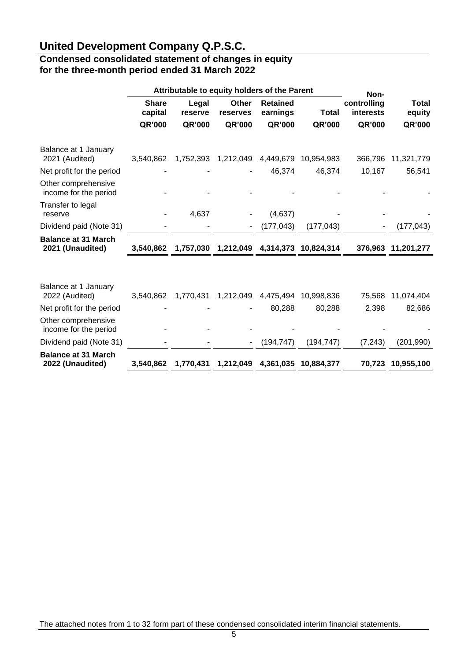### **Condensed consolidated statement of changes in equity for the three-month period ended 31 March 2022**

|                                                | Attributable to equity holders of the Parent |                  |                          | Non-                        |                      |                                 |                 |
|------------------------------------------------|----------------------------------------------|------------------|--------------------------|-----------------------------|----------------------|---------------------------------|-----------------|
|                                                | <b>Share</b><br>capital                      | Legal<br>reserve | <b>Other</b><br>reserves | <b>Retained</b><br>earnings | <b>Total</b>         | controlling<br><b>interests</b> | Total<br>equity |
|                                                | QR'000                                       | QR'000           | QR'000                   | QR'000                      | QR'000               | QR'000                          | QR'000          |
| Balance at 1 January<br>2021 (Audited)         | 3,540,862                                    | 1,752,393        | 1,212,049                | 4,449,679                   | 10,954,983           | 366,796                         | 11,321,779      |
| Net profit for the period                      |                                              |                  |                          | 46,374                      | 46,374               | 10,167                          | 56,541          |
| Other comprehensive<br>income for the period   |                                              |                  |                          |                             |                      |                                 |                 |
| Transfer to legal<br>reserve                   |                                              | 4,637            |                          | (4,637)                     |                      |                                 |                 |
| Dividend paid (Note 31)                        |                                              |                  |                          | (177, 043)                  | (177, 043)           |                                 | (177, 043)      |
| <b>Balance at 31 March</b><br>2021 (Unaudited) | 3,540,862                                    | 1,757,030        | 1,212,049                |                             | 4,314,373 10,824,314 | 376,963                         | 11,201,277      |
|                                                |                                              |                  |                          |                             |                      |                                 |                 |
| Balance at 1 January<br>2022 (Audited)         | 3,540,862                                    | 1,770,431        | 1,212,049                | 4,475,494                   | 10,998,836           | 75,568                          | 11,074,404      |
| Net profit for the period                      |                                              |                  |                          | 80,288                      | 80,288               | 2,398                           | 82,686          |
| Other comprehensive<br>income for the period   |                                              |                  |                          |                             |                      |                                 |                 |
| Dividend paid (Note 31)                        |                                              |                  | ۰                        | (194, 747)                  | (194, 747)           | (7, 243)                        | (201, 990)      |
| <b>Balance at 31 March</b><br>2022 (Unaudited) | 3,540,862                                    | 1,770,431        | 1,212,049                | 4,361,035                   | 10,884,377           | 70,723                          | 10,955,100      |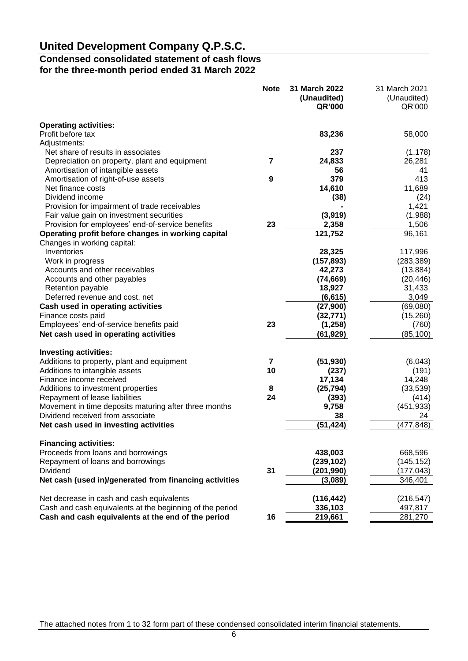### **Condensed consolidated statement of cash flows for the three-month period ended 31 March 2022**

|                                                          | <b>Note</b>             | 31 March 2022 | 31 March 2021 |
|----------------------------------------------------------|-------------------------|---------------|---------------|
|                                                          |                         | (Unaudited)   | (Unaudited)   |
|                                                          |                         | QR'000        | QR'000        |
| <b>Operating activities:</b>                             |                         |               |               |
| Profit before tax                                        |                         | 83,236        | 58,000        |
| Adjustments:                                             |                         |               |               |
| Net share of results in associates                       |                         | 237           | (1, 178)      |
| Depreciation on property, plant and equipment            | 7                       | 24,833        | 26,281        |
| Amortisation of intangible assets                        |                         | 56            | 41            |
| Amortisation of right-of-use assets                      | 9                       | 379           | 413           |
| Net finance costs                                        |                         | 14,610        | 11,689        |
| Dividend income                                          |                         | (38)          | (24)          |
| Provision for impairment of trade receivables            |                         |               | 1,421         |
| Fair value gain on investment securities                 |                         | (3,919)       | (1,988)       |
| Provision for employees' end-of-service benefits         | 23                      | 2,358         | 1,506         |
| Operating profit before changes in working capital       |                         | 121,752       | 96,161        |
| Changes in working capital:                              |                         |               |               |
| Inventories                                              |                         | 28,325        | 117,996       |
| Work in progress                                         |                         | (157, 893)    | (283, 389)    |
| Accounts and other receivables                           |                         | 42,273        | (13, 884)     |
| Accounts and other payables                              |                         | (74, 669)     | (20, 446)     |
| Retention payable                                        |                         | 18,927        | 31,433        |
| Deferred revenue and cost, net                           |                         | (6, 615)      | 3,049         |
| Cash used in operating activities                        |                         | (27,900)      | (69,080)      |
| Finance costs paid                                       |                         | (32, 771)     | (15, 260)     |
| Employees' end-of-service benefits paid                  | 23                      | (1, 258)      | (760)         |
| Net cash used in operating activities                    |                         | (61, 929)     | (85, 100)     |
| <b>Investing activities:</b>                             |                         |               |               |
| Additions to property, plant and equipment               | $\overline{\mathbf{r}}$ | (51, 930)     | (6,043)       |
| Additions to intangible assets                           | 10                      | (237)         | (191)         |
| Finance income received                                  |                         | 17,134        | 14,248        |
| Additions to investment properties                       | 8                       | (25, 794)     | (33, 539)     |
| Repayment of lease liabilities                           | 24                      | (393)         | (414)         |
| Movement in time deposits maturing after three months    |                         | 9,758         | (451, 933)    |
| Dividend received from associate                         |                         | 38            | 24            |
| Net cash used in investing activities                    |                         | (51,424)      | (477, 848)    |
| <b>Financing activities:</b>                             |                         |               |               |
| Proceeds from loans and borrowings                       |                         | 438,003       | 668,596       |
| Repayment of loans and borrowings                        |                         | (239, 102)    | (145, 152)    |
| Dividend                                                 | 31                      | (201,990)     | (177, 043)    |
| Net cash (used in)/generated from financing activities   |                         | (3,089)       | 346,401       |
| Net decrease in cash and cash equivalents                |                         | (116, 442)    | (216, 547)    |
| Cash and cash equivalents at the beginning of the period |                         | 336,103       | 497,817       |
| Cash and cash equivalents at the end of the period       | 16                      | 219,661       | 281,270       |

The attached notes from 1 to 32 form part of these condensed consolidated interim financial statements.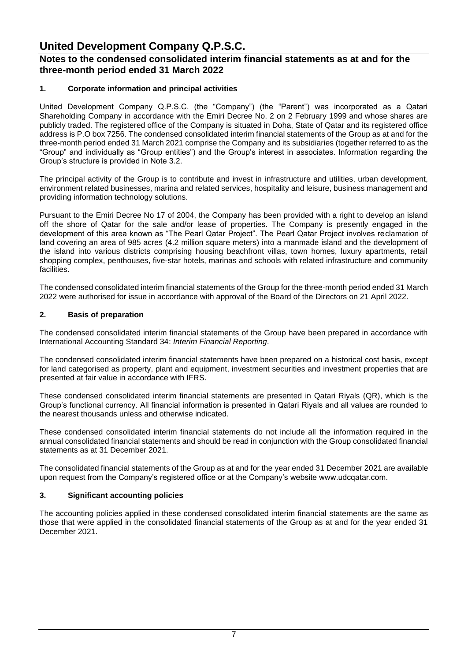### **Notes to the condensed consolidated interim financial statements as at and for the three-month period ended 31 March 2022**

### **1. Corporate information and principal activities**

United Development Company Q.P.S.C. (the "Company") (the "Parent") was incorporated as a Qatari Shareholding Company in accordance with the Emiri Decree No. 2 on 2 February 1999 and whose shares are publicly traded. The registered office of the Company is situated in Doha, State of Qatar and its registered office address is P.O box 7256. The condensed consolidated interim financial statements of the Group as at and for the three-month period ended 31 March 2021 comprise the Company and its subsidiaries (together referred to as the "Group" and individually as "Group entities") and the Group's interest in associates. Information regarding the Group's structure is provided in Note 3.2.

The principal activity of the Group is to contribute and invest in infrastructure and utilities, urban development, environment related businesses, marina and related services, hospitality and leisure, business management and providing information technology solutions.

Pursuant to the Emiri Decree No 17 of 2004, the Company has been provided with a right to develop an island off the shore of Qatar for the sale and/or lease of properties. The Company is presently engaged in the development of this area known as "The Pearl Qatar Project". The Pearl Qatar Project involves reclamation of land covering an area of 985 acres (4.2 million square meters) into a manmade island and the development of the island into various districts comprising housing beachfront villas, town homes, luxury apartments, retail shopping complex, penthouses, five-star hotels, marinas and schools with related infrastructure and community facilities.

The condensed consolidated interim financial statements of the Group for the three-month period ended 31 March 2022 were authorised for issue in accordance with approval of the Board of the Directors on 21 April 2022.

#### **2. Basis of preparation**

The condensed consolidated interim financial statements of the Group have been prepared in accordance with International Accounting Standard 34: *Interim Financial Reporting*.

The condensed consolidated interim financial statements have been prepared on a historical cost basis, except for land categorised as property, plant and equipment, investment securities and investment properties that are presented at fair value in accordance with IFRS.

These condensed consolidated interim financial statements are presented in Qatari Riyals (QR), which is the Group's functional currency. All financial information is presented in Qatari Riyals and all values are rounded to the nearest thousands unless and otherwise indicated.

These condensed consolidated interim financial statements do not include all the information required in the annual consolidated financial statements and should be read in conjunction with the Group consolidated financial statements as at 31 December 2021.

The consolidated financial statements of the Group as at and for the year ended 31 December 2021 are available upon request from the Company's registered office or at the Company's website www.udcqatar.com.

### **3. Significant accounting policies**

The accounting policies applied in these condensed consolidated interim financial statements are the same as those that were applied in the consolidated financial statements of the Group as at and for the year ended 31 December 2021.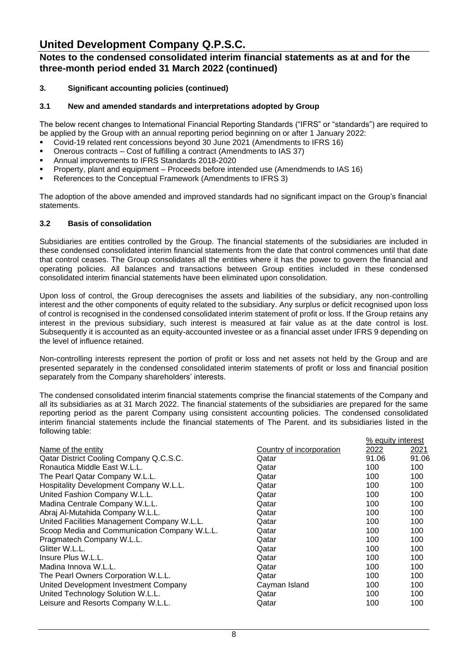### **Notes to the condensed consolidated interim financial statements as at and for the three-month period ended 31 March 2022 (continued)**

### **3. Significant accounting policies (continued)**

### **3.1 New and amended standards and interpretations adopted by Group**

The below recent changes to International Financial Reporting Standards ("IFRS" or "standards") are required to be applied by the Group with an annual reporting period beginning on or after 1 January 2022:

- Covid-19 related rent concessions beyond 30 June 2021 (Amendments to IFRS 16)
- Onerous contracts Cost of fulfilling a contract (Amendments to IAS 37)
- Annual improvements to IFRS Standards 2018-2020
- Property, plant and equipment Proceeds before intended use (Amendmends to IAS 16)
- References to the Conceptual Framework (Amendments to IFRS 3)

The adoption of the above amended and improved standards had no significant impact on the Group's financial statements.

#### **3.2 Basis of consolidation**

Subsidiaries are entities controlled by the Group. The financial statements of the subsidiaries are included in these condensed consolidated interim financial statements from the date that control commences until that date that control ceases. The Group consolidates all the entities where it has the power to govern the financial and operating policies. All balances and transactions between Group entities included in these condensed consolidated interim financial statements have been eliminated upon consolidation.

Upon loss of control, the Group derecognises the assets and liabilities of the subsidiary, any non-controlling interest and the other components of equity related to the subsidiary. Any surplus or deficit recognised upon loss of control is recognised in the condensed consolidated interim statement of profit or loss. If the Group retains any interest in the previous subsidiary, such interest is measured at fair value as at the date control is lost. Subsequently it is accounted as an equity-accounted investee or as a financial asset under IFRS 9 depending on the level of influence retained.

Non-controlling interests represent the portion of profit or loss and net assets not held by the Group and are presented separately in the condensed consolidated interim statements of profit or loss and financial position separately from the Company shareholders' interests.

The condensed consolidated interim financial statements comprise the financial statements of the Company and all its subsidiaries as at 31 March 2022. The financial statements of the subsidiaries are prepared for the same reporting period as the parent Company using consistent accounting policies. The condensed consolidated interim financial statements include the financial statements of The Parent. and its subsidiaries listed in the following table:

% equity interest

|                                              |                          | <b>70 GUUILY ILIUGI GOL</b> |       |
|----------------------------------------------|--------------------------|-----------------------------|-------|
| Name of the entity                           | Country of incorporation | 2022                        | 2021  |
| Qatar District Cooling Company Q.C.S.C.      | Qatar                    | 91.06                       | 91.06 |
| Ronautica Middle East W.L.L.                 | Qatar                    | 100                         | 100   |
| The Pearl Qatar Company W.L.L.               | Qatar                    | 100                         | 100   |
| Hospitality Development Company W.L.L.       | Qatar                    | 100                         | 100   |
| United Fashion Company W.L.L.                | Qatar                    | 100                         | 100   |
| Madina Centrale Company W.L.L.               | Qatar                    | 100                         | 100   |
| Abraj Al-Mutahida Company W.L.L.             | Qatar                    | 100                         | 100   |
| United Facilities Management Company W.L.L.  | Qatar                    | 100                         | 100   |
| Scoop Media and Communication Company W.L.L. | Qatar                    | 100                         | 100   |
| Pragmatech Company W.L.L.                    | Qatar                    | 100                         | 100   |
| Glitter W.L.L.                               | Qatar                    | 100                         | 100   |
| Insure Plus W.L.L.                           | Qatar                    | 100                         | 100   |
| Madina Innova W.L.L.                         | Qatar                    | 100                         | 100   |
| The Pearl Owners Corporation W.L.L.          | Qatar                    | 100                         | 100   |
| United Development Investment Company        | Cayman Island            | 100                         | 100   |
| United Technology Solution W.L.L.            | Qatar                    | 100                         | 100   |
| Leisure and Resorts Company W.L.L.           | Qatar                    | 100                         | 100   |
|                                              |                          |                             |       |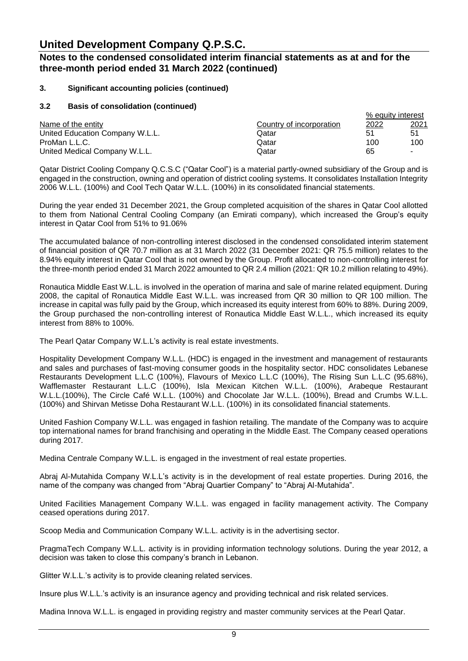### **Notes to the condensed consolidated interim financial statements as at and for the three-month period ended 31 March 2022 (continued)**

### **3. Significant accounting policies (continued)**

#### **3.2 Basis of consolidation (continued)**

|                                 |                          | % equity interest |              |
|---------------------------------|--------------------------|-------------------|--------------|
| Name of the entity              | Country of incorporation | <u> 2022</u>      | <u> 2021</u> |
| United Education Company W.L.L. | Qatar                    | 51                | 51           |
| ProMan L.L.C.                   | Qatar                    | 100               | 100          |
| United Medical Company W.L.L.   | Qatar                    | 65                | ۰            |

Qatar District Cooling Company Q.C.S.C ("Qatar Cool") is a material partly-owned subsidiary of the Group and is engaged in the construction, owning and operation of district cooling systems. It consolidates Installation Integrity 2006 W.L.L. (100%) and Cool Tech Qatar W.L.L. (100%) in its consolidated financial statements.

During the year ended 31 December 2021, the Group completed acquisition of the shares in Qatar Cool allotted to them from National Central Cooling Company (an Emirati company), which increased the Group's equity interest in Qatar Cool from 51% to 91.06%

The accumulated balance of non-controlling interest disclosed in the condensed consolidated interim statement of financial position of QR 70.7 million as at 31 March 2022 (31 December 2021: QR 75.5 million) relates to the 8.94% equity interest in Qatar Cool that is not owned by the Group. Profit allocated to non-controlling interest for the three-month period ended 31 March 2022 amounted to QR 2.4 million (2021: QR 10.2 million relating to 49%).

Ronautica Middle East W.L.L. is involved in the operation of marina and sale of marine related equipment. During 2008, the capital of Ronautica Middle East W.L.L. was increased from QR 30 million to QR 100 million. The increase in capital was fully paid by the Group, which increased its equity interest from 60% to 88%. During 2009, the Group purchased the non-controlling interest of Ronautica Middle East W.L.L., which increased its equity interest from 88% to 100%.

The Pearl Qatar Company W.L.L's activity is real estate investments.

Hospitality Development Company W.L.L. (HDC) is engaged in the investment and management of restaurants and sales and purchases of fast-moving consumer goods in the hospitality sector. HDC consolidates Lebanese Restaurants Development L.L.C (100%), Flavours of Mexico L.L.C (100%), The Rising Sun L.L.C (95.68%), Wafflemaster Restaurant L.L.C (100%), Isla Mexican Kitchen W.L.L. (100%), Arabeque Restaurant W.L.L.(100%), The Circle Café W.L.L. (100%) and Chocolate Jar W.L.L. (100%), Bread and Crumbs W.L.L. (100%) and Shirvan Metisse Doha Restaurant W.L.L. (100%) in its consolidated financial statements.

United Fashion Company W.L.L. was engaged in fashion retailing. The mandate of the Company was to acquire top international names for brand franchising and operating in the Middle East. The Company ceased operations during 2017.

Medina Centrale Company W.L.L. is engaged in the investment of real estate properties.

Abraj Al-Mutahida Company W.L.L's activity is in the development of real estate properties. During 2016, the name of the company was changed from "Abraj Quartier Company" to "Abraj Al-Mutahida".

United Facilities Management Company W.L.L. was engaged in facility management activity. The Company ceased operations during 2017.

Scoop Media and Communication Company W.L.L. activity is in the advertising sector.

PragmaTech Company W.L.L. activity is in providing information technology solutions. During the year 2012, a decision was taken to close this company's branch in Lebanon.

Glitter W.L.L.'s activity is to provide cleaning related services.

Insure plus W.L.L.'s activity is an insurance agency and providing technical and risk related services.

Madina Innova W.L.L. is engaged in providing registry and master community services at the Pearl Qatar.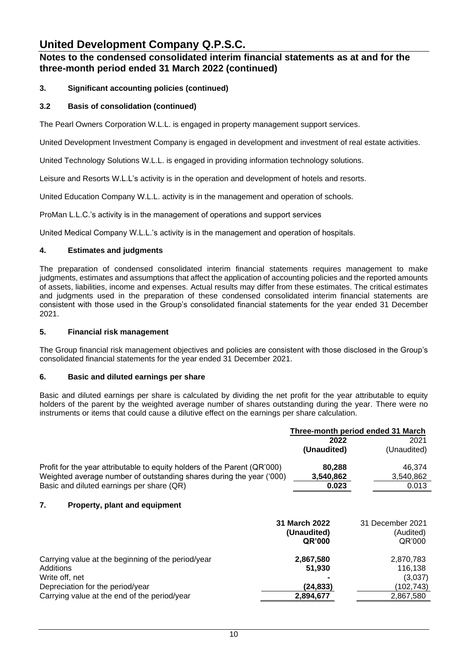### **Notes to the condensed consolidated interim financial statements as at and for the three-month period ended 31 March 2022 (continued)**

### **3. Significant accounting policies (continued)**

### **3.2 Basis of consolidation (continued)**

The Pearl Owners Corporation W.L.L. is engaged in property management support services.

United Development Investment Company is engaged in development and investment of real estate activities.

United Technology Solutions W.L.L. is engaged in providing information technology solutions.

Leisure and Resorts W.L.L's activity is in the operation and development of hotels and resorts.

United Education Company W.L.L. activity is in the management and operation of schools.

ProMan L.L.C.'s activity is in the management of operations and support services

United Medical Company W.L.L.'s activity is in the management and operation of hospitals.

#### **4. Estimates and judgments**

The preparation of condensed consolidated interim financial statements requires management to make judgments, estimates and assumptions that affect the application of accounting policies and the reported amounts of assets, liabilities, income and expenses. Actual results may differ from these estimates. The critical estimates and judgments used in the preparation of these condensed consolidated interim financial statements are consistent with those used in the Group's consolidated financial statements for the year ended 31 December 2021.

### **5. Financial risk management**

The Group financial risk management objectives and policies are consistent with those disclosed in the Group's consolidated financial statements for the year ended 31 December 2021.

### **6. Basic and diluted earnings per share**

Basic and diluted earnings per share is calculated by dividing the net profit for the year attributable to equity holders of the parent by the weighted average number of shares outstanding during the year. There were no instruments or items that could cause a dilutive effect on the earnings per share calculation.

|                                                                           |               | Three-month period ended 31 March |
|---------------------------------------------------------------------------|---------------|-----------------------------------|
|                                                                           | 2022          | 2021                              |
|                                                                           | (Unaudited)   | (Unaudited)                       |
| Profit for the year attributable to equity holders of the Parent (QR'000) | 80,288        | 46,374                            |
| Weighted average number of outstanding shares during the year ('000)      | 3,540,862     | 3,540,862                         |
| Basic and diluted earnings per share (QR)                                 | 0.023         | 0.013                             |
| 7.<br>Property, plant and equipment                                       |               |                                   |
|                                                                           | 31 March 2022 | 31 December 2021                  |
|                                                                           | (Unaudited)   | (Audited)                         |
|                                                                           | QR'000        | QR'000                            |
| Carrying value at the beginning of the period/year                        | 2,867,580     | 2,870,783                         |
| Additions                                                                 | 51,930        | 116,138                           |
| Write off, net                                                            |               | (3,037)                           |
| Depreciation for the period/year                                          | (24, 833)     | (102, 743)                        |
| Carrying value at the end of the period/year                              | 2,894,677     | 2,867,580                         |
|                                                                           |               |                                   |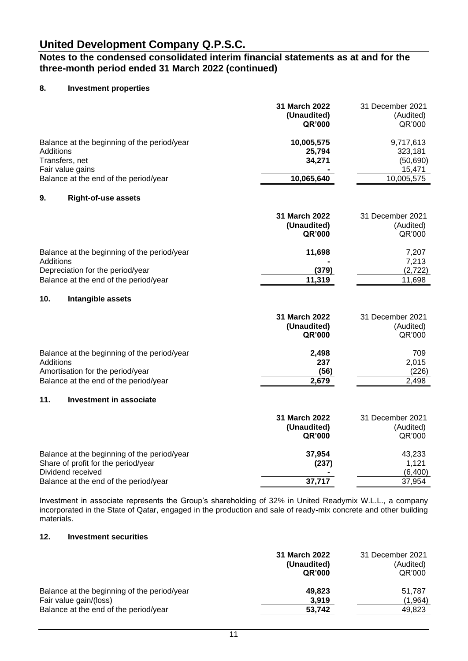### **Notes to the condensed consolidated interim financial statements as at and for the three-month period ended 31 March 2022 (continued)**

### **8. Investment properties**

|                                                                                                                                         | 31 March 2022<br>(Unaudited)<br>QR'000       | 31 December 2021<br>(Audited)<br>QR'000                   |
|-----------------------------------------------------------------------------------------------------------------------------------------|----------------------------------------------|-----------------------------------------------------------|
| Balance at the beginning of the period/year<br>Additions<br>Transfers, net<br>Fair value gains<br>Balance at the end of the period/year | 10,005,575<br>25,794<br>34,271<br>10,065,640 | 9,717,613<br>323,181<br>(50, 690)<br>15,471<br>10,005,575 |
| 9.<br><b>Right-of-use assets</b>                                                                                                        |                                              |                                                           |
|                                                                                                                                         | 31 March 2022<br>(Unaudited)<br>QR'000       | 31 December 2021<br>(Audited)<br>QR'000                   |
| Balance at the beginning of the period/year<br>Additions<br>Depreciation for the period/year<br>Balance at the end of the period/year   | 11,698<br>(379)<br>11,319                    | 7,207<br>7,213<br>(2,722)<br>11,698                       |
| 10.<br>Intangible assets                                                                                                                |                                              |                                                           |
|                                                                                                                                         | 31 March 2022<br>(Unaudited)<br>QR'000       | 31 December 2021<br>(Audited)<br>QR'000                   |
| Balance at the beginning of the period/year<br>Additions<br>Amortisation for the period/year<br>Balance at the end of the period/year   | 2,498<br>237<br>(56)<br>2,679                | 709<br>2,015<br>(226)<br>2,498                            |
| 11.<br><b>Investment in associate</b>                                                                                                   |                                              |                                                           |
|                                                                                                                                         | 31 March 2022<br>(Unaudited)<br>QR'000       | 31 December 2021<br>(Audited)<br>QR'000                   |
| Balance at the beginning of the period/year<br>Share of profit for the period/year<br>Dividend received                                 | 37,954<br>(237)                              | 43,233<br>1,121<br>(6,400)                                |
| Balance at the end of the period/year                                                                                                   | 37,717                                       | 37,954                                                    |

Investment in associate represents the Group's shareholding of 32% in United Readymix W.L.L., a company incorporated in the State of Qatar, engaged in the production and sale of ready-mix concrete and other building materials.

### **12. Investment securities**

|                                             | 31 March 2022<br>(Unaudited)<br>QR'000 | 31 December 2021<br>(Audited)<br>QR'000 |
|---------------------------------------------|----------------------------------------|-----------------------------------------|
| Balance at the beginning of the period/year | 49.823                                 | 51,787                                  |
| Fair value gain/(loss)                      | 3.919                                  | (1,964)                                 |
| Balance at the end of the period/year       | 53,742                                 | 49,823                                  |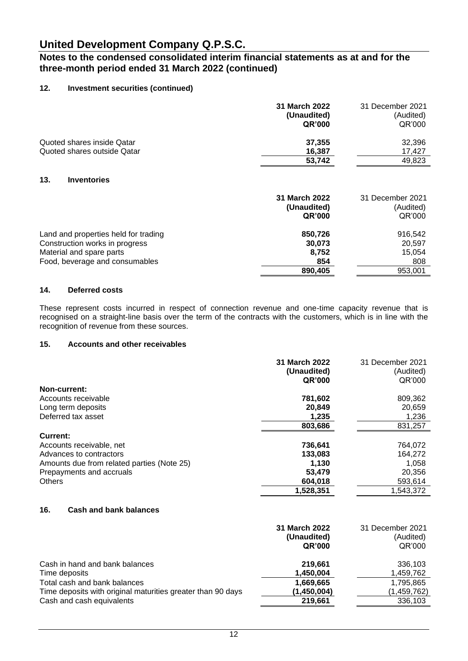### **Notes to the condensed consolidated interim financial statements as at and for the three-month period ended 31 March 2022 (continued)**

### **12. Investment securities (continued)**

|                                                                                                                                      | 31 March 2022<br>(Unaudited)<br>QR'000       | 31 December 2021<br>(Audited)<br>QR'000       |
|--------------------------------------------------------------------------------------------------------------------------------------|----------------------------------------------|-----------------------------------------------|
| Quoted shares inside Qatar                                                                                                           | 37,355                                       | 32,396                                        |
| Quoted shares outside Qatar                                                                                                          | 16,387                                       | 17,427                                        |
|                                                                                                                                      | 53,742                                       | 49,823                                        |
| 13.<br><b>Inventories</b>                                                                                                            | 31 March 2022<br>(Unaudited)<br>QR'000       | 31 December 2021<br>(Audited)<br>QR'000       |
| Land and properties held for trading<br>Construction works in progress<br>Material and spare parts<br>Food, beverage and consumables | 850,726<br>30,073<br>8,752<br>854<br>890,405 | 916,542<br>20,597<br>15,054<br>808<br>953,001 |

#### **14. Deferred costs**

These represent costs incurred in respect of connection revenue and one-time capacity revenue that is recognised on a straight-line basis over the term of the contracts with the customers, which is in line with the recognition of revenue from these sources.

#### **15. Accounts and other receivables**

|                                            | 31 March 2022<br>(Unaudited)<br>QR'000 | 31 December 2021<br>(Audited)<br>QR'000 |
|--------------------------------------------|----------------------------------------|-----------------------------------------|
| Non-current:                               |                                        |                                         |
| Accounts receivable                        | 781,602                                | 809,362                                 |
| Long term deposits                         | 20,849                                 | 20,659                                  |
| Deferred tax asset                         | 1,235                                  | 1,236                                   |
|                                            | 803,686                                | 831,257                                 |
| Current:                                   |                                        |                                         |
| Accounts receivable, net                   | 736,641                                | 764,072                                 |
| Advances to contractors                    | 133,083                                | 164.272                                 |
| Amounts due from related parties (Note 25) | 1.130                                  | 1,058                                   |
| Prepayments and accruals                   | 53,479                                 | 20,356                                  |
| <b>Others</b>                              | 604,018                                | 593,614                                 |
|                                            | 1,528,351                              | 1,543,372                               |
|                                            |                                        |                                         |

### **16. Cash and bank balances**

|                                                             | 31 March 2022<br>(Unaudited)<br><b>QR'000</b> | 31 December 2021<br>(Audited)<br>QR'000 |
|-------------------------------------------------------------|-----------------------------------------------|-----------------------------------------|
| Cash in hand and bank balances                              | 219.661                                       | 336,103                                 |
| Time deposits                                               | 1,450,004                                     | 1,459,762                               |
| Total cash and bank balances                                | 1,669,665                                     | 1,795,865                               |
| Time deposits with original maturities greater than 90 days | (1,450,004)                                   | (1,459,762)                             |
| Cash and cash equivalents                                   | 219,661                                       | 336,103                                 |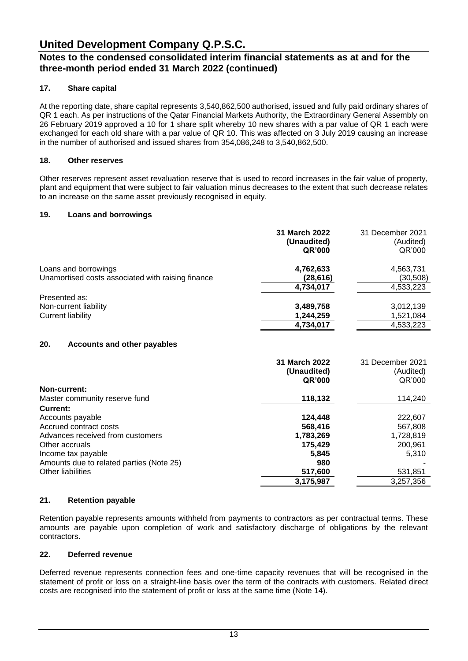### **Notes to the condensed consolidated interim financial statements as at and for the three-month period ended 31 March 2022 (continued)**

### **17. Share capital**

At the reporting date, share capital represents 3,540,862,500 authorised, issued and fully paid ordinary shares of QR 1 each. As per instructions of the Qatar Financial Markets Authority, the Extraordinary General Assembly on 26 February 2019 approved a 10 for 1 share split whereby 10 new shares with a par value of QR 1 each were exchanged for each old share with a par value of QR 10. This was affected on 3 July 2019 causing an increase in the number of authorised and issued shares from 354,086,248 to 3,540,862,500.

### **18. Other reserves**

Other reserves represent asset revaluation reserve that is used to record increases in the fair value of property, plant and equipment that were subject to fair valuation minus decreases to the extent that such decrease relates to an increase on the same asset previously recognised in equity.

#### **19. Loans and borrowings**

|                                                   | 31 March 2022<br>(Unaudited)<br>QR'000 | 31 December 2021<br>(Audited)<br>QR'000 |
|---------------------------------------------------|----------------------------------------|-----------------------------------------|
| Loans and borrowings                              | 4,762,633                              | 4,563,731                               |
| Unamortised costs associated with raising finance | (28,616)                               | (30,508)                                |
|                                                   | 4,734,017                              | 4,533,223                               |
| Presented as:                                     |                                        |                                         |
| Non-current liability                             | 3,489,758                              | 3,012,139                               |
| Current liability                                 | 1,244,259                              | 1,521,084                               |
|                                                   | 4,734,017                              | 4,533,223                               |
| 20.<br><b>Accounts and other payables</b>         |                                        |                                         |
|                                                   | 31 March 2022                          | 31 December 2021                        |

|                                          | JI MANILI LULL<br>(Unaudited)<br><b>QR'000</b> | <u>JI DECENIDEI ZUZ I</u><br>(Audited)<br>QR'000 |
|------------------------------------------|------------------------------------------------|--------------------------------------------------|
| Non-current:                             |                                                |                                                  |
| Master community reserve fund            | 118,132                                        | 114,240                                          |
| Current:                                 |                                                |                                                  |
| Accounts payable                         | 124,448                                        | 222,607                                          |
| Accrued contract costs                   | 568,416                                        | 567,808                                          |
| Advances received from customers         | 1,783,269                                      | 1,728,819                                        |
| Other accruals                           | 175,429                                        | 200,961                                          |
| Income tax payable                       | 5.845                                          | 5.310                                            |
| Amounts due to related parties (Note 25) | 980                                            |                                                  |
| Other liabilities                        | 517,600                                        | 531,851                                          |
|                                          | 3,175,987                                      | 3,257,356                                        |

### **21. Retention payable**

Retention payable represents amounts withheld from payments to contractors as per contractual terms. These amounts are payable upon completion of work and satisfactory discharge of obligations by the relevant contractors.

#### **22. Deferred revenue**

Deferred revenue represents connection fees and one-time capacity revenues that will be recognised in the statement of profit or loss on a straight-line basis over the term of the contracts with customers. Related direct costs are recognised into the statement of profit or loss at the same time (Note 14).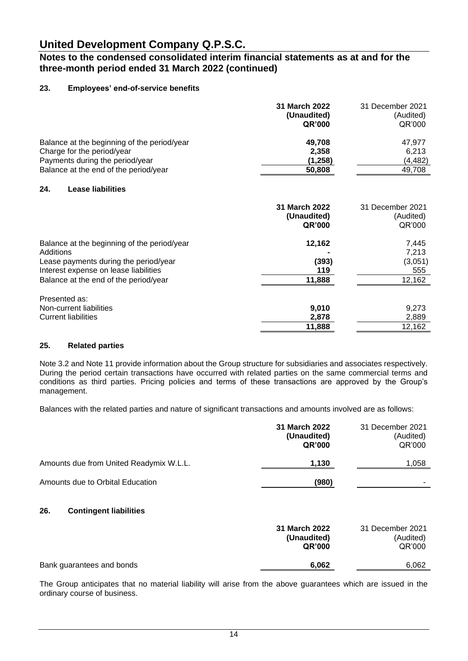### **Notes to the condensed consolidated interim financial statements as at and for the three-month period ended 31 March 2022 (continued)**

### **23. Employees' end-of-service benefits**

|                                                                                                                                                                                     | 31 March 2022<br>(Unaudited)<br><b>QR'000</b> | 31 December 2021<br>(Audited)<br>QR'000    |
|-------------------------------------------------------------------------------------------------------------------------------------------------------------------------------------|-----------------------------------------------|--------------------------------------------|
| Balance at the beginning of the period/year<br>Charge for the period/year<br>Payments during the period/year<br>Balance at the end of the period/year                               | 49,708<br>2,358<br>(1,258)<br>50,808          | 47,977<br>6,213<br>(4, 482)<br>49,708      |
| 24.<br><b>Lease liabilities</b>                                                                                                                                                     |                                               |                                            |
|                                                                                                                                                                                     | 31 March 2022<br>(Unaudited)<br><b>QR'000</b> | 31 December 2021<br>(Audited)<br>QR'000    |
| Balance at the beginning of the period/year<br>Additions<br>Lease payments during the period/year<br>Interest expense on lease liabilities<br>Balance at the end of the period/year | 12,162<br>(393)<br>119<br>11,888              | 7,445<br>7,213<br>(3,051)<br>555<br>12,162 |
| Presented as:<br>Non-current liabilities<br><b>Current liabilities</b>                                                                                                              | 9,010<br>2,878<br>11,888                      | 9,273<br>2,889<br>12,162                   |

#### **25. Related parties**

Note 3.2 and Note 11 provide information about the Group structure for subsidiaries and associates respectively. During the period certain transactions have occurred with related parties on the same commercial terms and conditions as third parties. Pricing policies and terms of these transactions are approved by the Group's management.

Balances with the related parties and nature of significant transactions and amounts involved are as follows:

|                                         | 31 March 2022<br>(Unaudited)<br>QR'000 | 31 December 2021<br>(Audited)<br>QR'000 |
|-----------------------------------------|----------------------------------------|-----------------------------------------|
| Amounts due from United Readymix W.L.L. | 1,130                                  | 1,058                                   |
| Amounts due to Orbital Education        | (980)                                  |                                         |
| 26.<br><b>Contingent liabilities</b>    |                                        |                                         |
|                                         | 31 March 2022<br>(Unaudited)<br>QR'000 | 31 December 2021<br>(Audited)<br>QR'000 |
| Bank guarantees and bonds               | 6,062                                  | 6,062                                   |

The Group anticipates that no material liability will arise from the above guarantees which are issued in the ordinary course of business.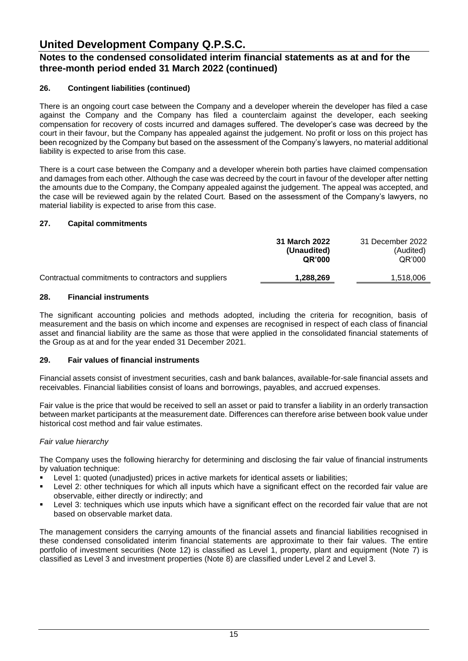### **Notes to the condensed consolidated interim financial statements as at and for the three-month period ended 31 March 2022 (continued)**

### **26. Contingent liabilities (continued)**

There is an ongoing court case between the Company and a developer wherein the developer has filed a case against the Company and the Company has filed a counterclaim against the developer, each seeking compensation for recovery of costs incurred and damages suffered. The developer's case was decreed by the court in their favour, but the Company has appealed against the judgement. No profit or loss on this project has been recognized by the Company but based on the assessment of the Company's lawyers, no material additional liability is expected to arise from this case.

There is a court case between the Company and a developer wherein both parties have claimed compensation and damages from each other. Although the case was decreed by the court in favour of the developer after netting the amounts due to the Company, the Company appealed against the judgement. The appeal was accepted, and the case will be reviewed again by the related Court. Based on the assessment of the Company's lawyers, no material liability is expected to arise from this case.

#### **27. Capital commitments**

|                                                      | 31 March 2022<br>(Unaudited)<br>QR'000 | 31 December 2022<br>(Audited)<br>QR'000 |
|------------------------------------------------------|----------------------------------------|-----------------------------------------|
| Contractual commitments to contractors and suppliers | 1,288,269                              | 1,518,006                               |

#### **28. Financial instruments**

The significant accounting policies and methods adopted, including the criteria for recognition, basis of measurement and the basis on which income and expenses are recognised in respect of each class of financial asset and financial liability are the same as those that were applied in the consolidated financial statements of the Group as at and for the year ended 31 December 2021.

### **29. Fair values of financial instruments**

Financial assets consist of investment securities, cash and bank balances, available-for-sale financial assets and receivables. Financial liabilities consist of loans and borrowings, payables, and accrued expenses.

Fair value is the price that would be received to sell an asset or paid to transfer a liability in an orderly transaction between market participants at the measurement date. Differences can therefore arise between book value under historical cost method and fair value estimates.

#### *Fair value hierarchy*

The Company uses the following hierarchy for determining and disclosing the fair value of financial instruments by valuation technique:

- Level 1: quoted (unadjusted) prices in active markets for identical assets or liabilities;
- Level 2: other techniques for which all inputs which have a significant effect on the recorded fair value are observable, either directly or indirectly; and
- Level 3: techniques which use inputs which have a significant effect on the recorded fair value that are not based on observable market data.

The management considers the carrying amounts of the financial assets and financial liabilities recognised in these condensed consolidated interim financial statements are approximate to their fair values. The entire portfolio of investment securities (Note 12) is classified as Level 1, property, plant and equipment (Note 7) is classified as Level 3 and investment properties (Note 8) are classified under Level 2 and Level 3.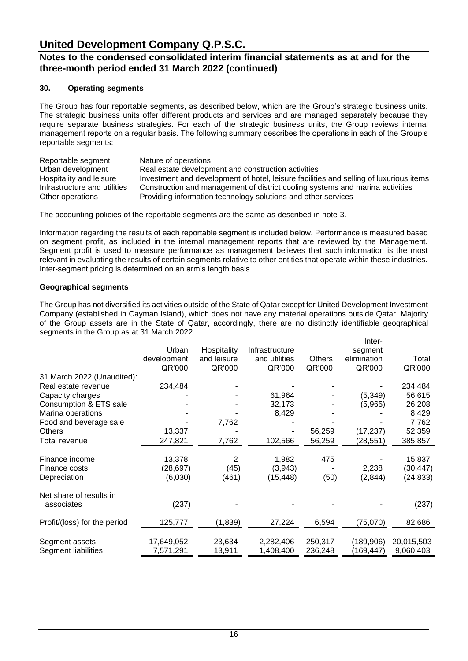### **Notes to the condensed consolidated interim financial statements as at and for the three-month period ended 31 March 2022 (continued)**

### **30. Operating segments**

The Group has four reportable segments, as described below, which are the Group's strategic business units. The strategic business units offer different products and services and are managed separately because they require separate business strategies. For each of the strategic business units, the Group reviews internal management reports on a regular basis. The following summary describes the operations in each of the Group's reportable segments:

Reportable segment Nature of operations Urban development Real estate development and construction activities Hospitality and leisure Investment and development of hotel, leisure facilities and selling of luxurious items Infrastructure and utilities Construction and management of district cooling systems and marina activities Other operations Providing information technology solutions and other services

The accounting policies of the reportable segments are the same as described in note 3.

Information regarding the results of each reportable segment is included below. Performance is measured based on segment profit, as included in the internal management reports that are reviewed by the Management. Segment profit is used to measure performance as management believes that such information is the most relevant in evaluating the results of certain segments relative to other entities that operate within these industries. Inter-segment pricing is determined on an arm's length basis.

#### **Geographical segments**

The Group has not diversified its activities outside of the State of Qatar except for United Development Investment Company (established in Cayman Island), which does not have any material operations outside Qatar. Majority of the Group assets are in the State of Qatar, accordingly, there are no distinctly identifiable geographical segments in the Group as at 31 March 2022. Inter

|                              | Urban       | Hospitality | Infrastructure |               | 11 I I GI - |            |
|------------------------------|-------------|-------------|----------------|---------------|-------------|------------|
|                              |             |             |                |               | segment     |            |
|                              | development | and leisure | and utilities  | <b>Others</b> | elimination | Total      |
|                              | QR'000      | QR'000      | QR'000         | QR'000        | QR'000      | QR'000     |
| 31 March 2022 (Unaudited):   |             |             |                |               |             |            |
| Real estate revenue          | 234,484     |             |                |               |             | 234,484    |
| Capacity charges             |             |             | 61,964         |               | (5, 349)    | 56,615     |
| Consumption & ETS sale       |             |             | 32,173         |               | (5,965)     | 26,208     |
| Marina operations            |             |             | 8,429          |               |             | 8,429      |
| Food and beverage sale       |             | 7,762       |                |               |             | 7,762      |
| <b>Others</b>                | 13,337      |             |                | 56,259        | (17, 237)   | 52,359     |
| Total revenue                | 247,821     | 7,762       | 102,566        | 56,259        | (28,551)    | 385,857    |
|                              |             |             |                |               |             |            |
| Finance income               | 13,378      | 2           | 1,982          | 475           |             | 15,837     |
| Finance costs                | (28, 697)   | (45)        | (3,943)        |               | 2,238       | (30,447)   |
| Depreciation                 | (6,030)     | (461)       | (15, 448)      | (50)          | (2,844)     | (24, 833)  |
| Net share of results in      |             |             |                |               |             |            |
| associates                   | (237)       |             |                |               |             | (237)      |
|                              |             |             |                |               |             |            |
| Profit/(loss) for the period | 125,777     | (1,839)     | 27,224         | 6,594         | (75,070)    | 82,686     |
|                              |             |             |                |               |             |            |
| Segment assets               | 17,649,052  | 23,634      | 2,282,406      | 250,317       | (189, 906)  | 20,015,503 |
| Segment liabilities          | 7,571,291   | 13,911      | 1,408,400      | 236,248       | (169, 447)  | 9,060,403  |